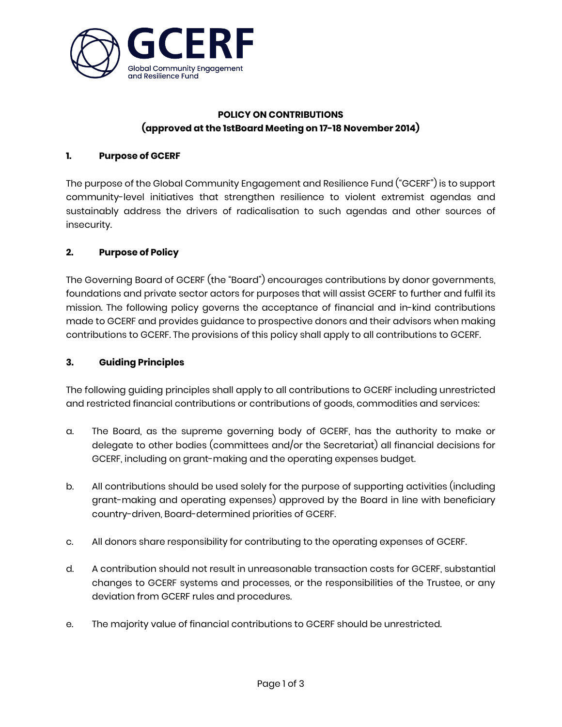

# **POLICY ON CONTRIBUTIONS (approved at the 1stBoard Meeting on 17-18 November 2014)**

#### **1. Purpose of GCERF**

The purpose of the Global Community Engagement and Resilience Fund ("GCERF") is to support community-level initiatives that strengthen resilience to violent extremist agendas and sustainably address the drivers of radicalisation to such agendas and other sources of insecurity.

## **2. Purpose of Policy**

The Governing Board of GCERF (the "Board") encourages contributions by donor governments, foundations and private sector actors for purposes that will assist GCERF to further and fulfil its mission. The following policy governs the acceptance of financial and in-kind contributions made to GCERF and provides guidance to prospective donors and their advisors when making contributions to GCERF. The provisions of this policy shall apply to all contributions to GCERF.

#### **3. Guiding Principles**

The following guiding principles shall apply to all contributions to GCERF including unrestricted and restricted financial contributions or contributions of goods, commodities and services:

- a. The Board, as the supreme governing body of GCERF, has the authority to make or delegate to other bodies (committees and/or the Secretariat) all financial decisions for GCERF, including on grant-making and the operating expenses budget.
- b. All contributions should be used solely for the purpose of supporting activities (including grant-making and operating expenses) approved by the Board in line with beneficiary country-driven, Board-determined priorities of GCERF.
- c. All donors share responsibility for contributing to the operating expenses of GCERF.
- d. A contribution should not result in unreasonable transaction costs for GCERF, substantial changes to GCERF systems and processes, or the responsibilities of the Trustee, or any deviation from GCERF rules and procedures.
- e. The majority value of financial contributions to GCERF should be unrestricted.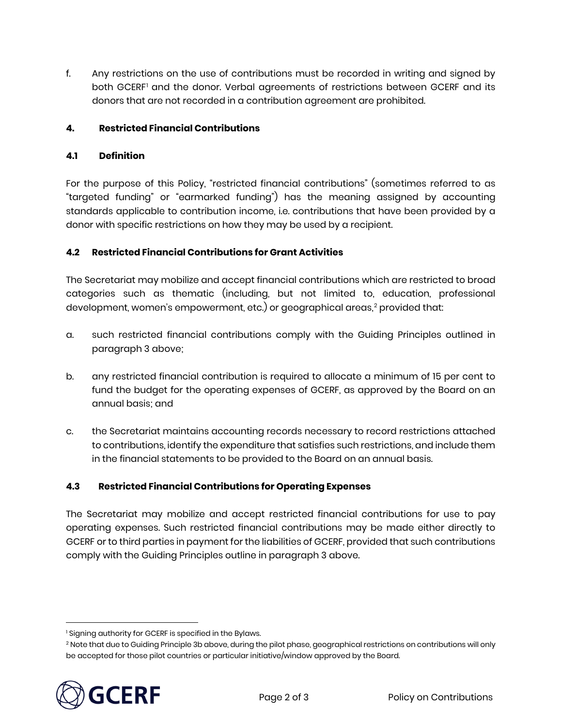f. Any restrictions on the use of contributions must be recorded in writing and signed by both GCERF<sup>[1](#page-1-0)</sup> and the donor. Verbal agreements of restrictions between GCERF and its donors that are not recorded in a contribution agreement are prohibited.

## **4. Restricted Financial Contributions**

#### **4.1 Definition**

For the purpose of this Policy, "restricted financial contributions" (sometimes referred to as "targeted funding" or "earmarked funding") has the meaning assigned by accounting standards applicable to contribution income, i.e. contributions that have been provided by a donor with specific restrictions on how they may be used by a recipient.

## **4.2 Restricted Financial Contributions for Grant Activities**

The Secretariat may mobilize and accept financial contributions which are restricted to broad categories such as thematic (including, but not limited to, education, professional development, women's empowerment, etc.) or geographical areas, [2](#page-1-1) provided that:

- a. such restricted financial contributions comply with the Guiding Principles outlined in paragraph 3 above;
- b. any restricted financial contribution is required to allocate a minimum of 15 per cent to fund the budget for the operating expenses of GCERF, as approved by the Board on an annual basis; and
- c. the Secretariat maintains accounting records necessary to record restrictions attached to contributions, identify the expenditure that satisfies such restrictions, and include them in the financial statements to be provided to the Board on an annual basis.

#### **4.3 Restricted Financial Contributions for Operating Expenses**

The Secretariat may mobilize and accept restricted financial contributions for use to pay operating expenses. Such restricted financial contributions may be made either directly to GCERF or to third parties in payment for the liabilities of GCERF, provided that such contributions comply with the Guiding Principles outline in paragraph 3 above.

<span id="page-1-1"></span><span id="page-1-0"></span><sup>&</sup>lt;sup>2</sup> Note that due to Guiding Principle 3b above, during the pilot phase, geographical restrictions on contributions will only be accepted for those pilot countries or particular initiative/window approved by the Board.



 $\overline{a}$ 

<sup>&</sup>lt;sup>1</sup> Signing authority for GCERF is specified in the Bylaws.